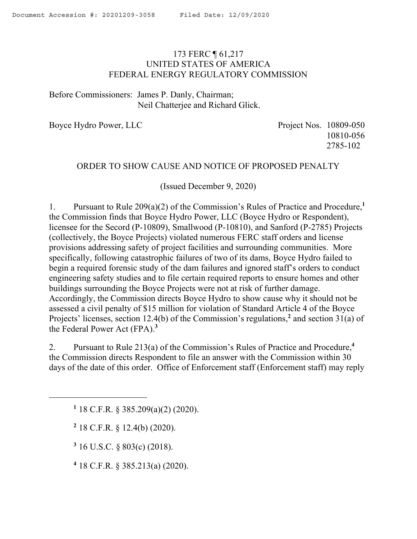# <span id="page-0-0"></span>173 FERC ¶ 61,217 UNITED STATES OF AMERICA FEDERAL ENERGY REGULATORY COMMISSION

Before Commissioners: James P. Danly, Chairman; Neil Chatterjee and Richard Glick.

Boyce Hydro Power, LLC Project Nos. 10809-050

10810-056 2785-102

## ORDER TO SHOW CAUSE AND NOTICE OF PROPOSED PENALTY

(Issued December 9, 2020)

1. Pursuant to Rule 209(a)(2) of the Commission's Rules of Practice and Procedure,**<sup>1</sup>** the Commission finds that Boyce Hydro Power, LLC (Boyce Hydro or Respondent), licensee for the Secord (P-10809), Smallwood (P-10810), and Sanford (P-2785) Projects (collectively, the Boyce Projects) violated numerous FERC staff orders and license provisions addressing safety of project facilities and surrounding communities. More specifically, following catastrophic failures of two of its dams, Boyce Hydro failed to begin a required forensic study of the dam failures and ignored staff's orders to conduct engineering safety studies and to file certain required reports to ensure homes and other buildings surrounding the Boyce Projects were not at risk of further damage. Accordingly, the Commission directs Boyce Hydro to show cause why it should not be assessed a civil penalty of \$15 million for violation of Standard Article 4 of the Boyce Projects' licenses, section 12.4(b) of the Commission's regulations,<sup>2</sup> and section 31(a) of the Federal Power Act (FPA).**<sup>3</sup>** 

2. Pursuant to Rule 213(a) of the Commission's Rules of Practice and Procedure,**<sup>4</sup>** the Commission directs Respondent to file an answer with the Commission within 30 days of the date of this order. Office of Enforcement staff (Enforcement staff) may reply

**1** 18 C.F.R. § 385.209(a)(2) (2020).

**2** 18 C.F.R. § 12.4(b) (2020).

 $\overline{a}$ 

**3** 16 U.S.C. § 803(c) (2018).

**4** 18 C.F.R. § 385.213(a) (2020).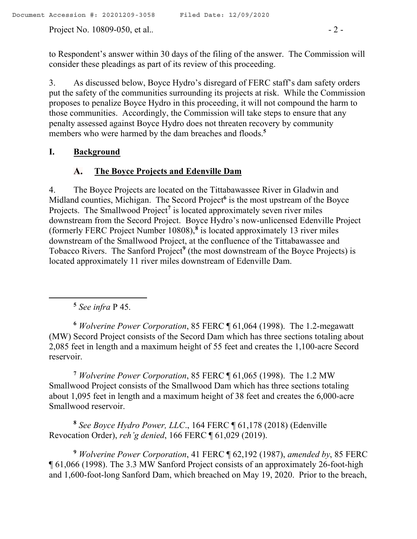Project No. 10809-050, et al..  $\qquad -2 -$ 

to Respondent's answer within 30 days of the filing of the answer. The Commission will consider these pleadings as part of its review of this proceeding.

3. As discussed below, Boyce Hydro's disregard of FERC staff's dam safety orders put the safety of the communities surrounding its projects at risk. While the Commission proposes to penalize Boyce Hydro in this proceeding, it will not compound the harm to those communities. Accordingly, the Commission will take steps to ensure that any penalty assessed against Boyce Hydro does not threaten recovery by community members who were harmed by the dam breaches and floods.<sup>5</sup>

# **I. Background**

### $\mathbf{A}_{\bullet}$ **The Boyce Projects and Edenville Dam**

4. The Boyce Projects are located on the Tittabawassee River in Gladwin and Midland counties, Michigan. The Secord Project**<sup>6</sup>** is the most upstream of the Boyce Projects. The Smallwood Project**<sup>7</sup>** is located approximately seven river miles downstream from the Secord Project. Boyce Hydro's now-unlicensed Edenville Project (formerly FERC Project Number 10808),**<sup>8</sup>** is located approximately 13 river miles downstream of the Smallwood Project, at the confluence of the Tittabawassee and Tobacco Rivers. The Sanford Project**<sup>9</sup>** (the most downstream of the Boyce Projects) is located approximately 11 river miles downstream of Edenville Dam.

**5** *See infra* P 45.

 $\overline{a}$ 

**<sup>6</sup>** *Wolverine Power Corporation*, 85 FERC ¶ 61,064 (1998). The 1.2-megawatt (MW) Secord Project consists of the Secord Dam which has three sections totaling about 2,085 feet in length and a maximum height of 55 feet and creates the 1,100-acre Secord reservoir.

**<sup>7</sup>** *Wolverine Power Corporation*, 85 FERC ¶ 61,065 (1998). The 1.2 MW Smallwood Project consists of the Smallwood Dam which has three sections totaling about 1,095 feet in length and a maximum height of 38 feet and creates the 6,000-acre Smallwood reservoir.

**8** *See Boyce Hydro Power, LLC*., 164 FERC ¶ 61,178 (2018) (Edenville Revocation Order), *reh'g denied*, 166 FERC ¶ 61,029 (2019).

**<sup>9</sup>** *Wolverine Power Corporation*, 41 FERC ¶ 62,192 (1987), *amended by*, 85 FERC ¶ 61,066 (1998). The 3.3 MW Sanford Project consists of an approximately 26-foot-high and 1,600-foot-long Sanford Dam, which breached on May 19, 2020. Prior to the breach,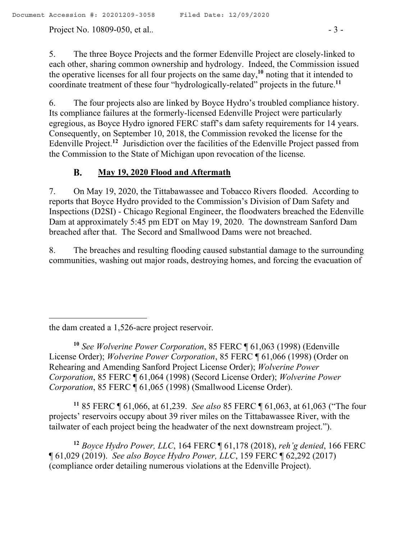Project No. 10809-050, et al..  $-3$  -

5. The three Boyce Projects and the former Edenville Project are closely-linked to each other, sharing common ownership and hydrology. Indeed, the Commission issued the operative licenses for all four projects on the same day,**<sup>10</sup>** noting that it intended to coordinate treatment of these four "hydrologically-related" projects in the future.**<sup>11</sup>**

6. The four projects also are linked by Boyce Hydro's troubled compliance history. Its compliance failures at the formerly-licensed Edenville Project were particularly egregious, as Boyce Hydro ignored FERC staff's dam safety requirements for 14 years. Consequently, on September 10, 2018, the Commission revoked the license for the Edenville Project.<sup>12</sup> Jurisdiction over the facilities of the Edenville Project passed from the Commission to the State of Michigan upon revocation of the license.

### **B. May 19, 2020 Flood and Aftermath**

7. On May 19, 2020, the Tittabawassee and Tobacco Rivers flooded. According to reports that Boyce Hydro provided to the Commission's Division of Dam Safety and Inspections (D2SI) - Chicago Regional Engineer, the floodwaters breached the Edenville Dam at approximately 5:45 pm EDT on May 19, 2020. The downstream Sanford Dam breached after that. The Secord and Smallwood Dams were not breached.

8. The breaches and resulting flooding caused substantial damage to the surrounding communities, washing out major roads, destroying homes, and forcing the evacuation of

**<sup>11</sup>** 85 FERC ¶ 61,066, at 61,239. *See also* 85 FERC ¶ 61,063, at 61,063 ("The four projects' reservoirs occupy about 39 river miles on the Tittabawassee River, with the tailwater of each project being the headwater of the next downstream project.").

**<sup>12</sup>** *Boyce Hydro Power, LLC*, 164 FERC ¶ 61,178 (2018), *reh'g denied*, 166 FERC ¶ 61,029 (2019). *See also Boyce Hydro Power, LLC*, 159 FERC ¶ 62,292 (2017) (compliance order detailing numerous violations at the Edenville Project).

the dam created a 1,526-acre project reservoir.

**<sup>10</sup>** *See Wolverine Power Corporation*, 85 FERC ¶ 61,063 (1998) (Edenville License Order); *Wolverine Power Corporation*, 85 FERC ¶ 61,066 (1998) (Order on Rehearing and Amending Sanford Project License Order); *Wolverine Power Corporation*, 85 FERC ¶ 61,064 (1998) (Secord License Order); *Wolverine Power Corporation*, 85 FERC ¶ 61,065 (1998) (Smallwood License Order).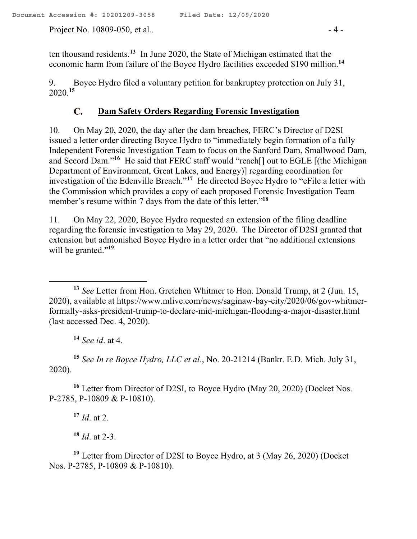Project No. 10809-050, et al.. **a** - 4 -

ten thousand residents.**<sup>13</sup>** In June 2020, the State of Michigan estimated that the economic harm from failure of the Boyce Hydro facilities exceeded \$190 million.**<sup>14</sup>**

9. Boyce Hydro filed a voluntary petition for bankruptcy protection on July 31, 2020. **15**

### $\mathbf{C}$ . **Dam Safety Orders Regarding Forensic Investigation**

10. On May 20, 2020, the day after the dam breaches, FERC's Director of D2SI issued a letter order directing Boyce Hydro to "immediately begin formation of a fully Independent Forensic Investigation Team to focus on the Sanford Dam, Smallwood Dam, and Secord Dam."<sup>16</sup> He said that FERC staff would "reach<sup>[]</sup> out to EGLE [(the Michigan Department of Environment, Great Lakes, and Energy)] regarding coordination for investigation of the Edenville Breach."<sup>17</sup> He directed Boyce Hydro to "eFile a letter with the Commission which provides a copy of each proposed Forensic Investigation Team member's resume within 7 days from the date of this letter."**<sup>18</sup>**

11. On May 22, 2020, Boyce Hydro requested an extension of the filing deadline regarding the forensic investigation to May 29, 2020. The Director of D2SI granted that extension but admonished Boyce Hydro in a letter order that "no additional extensions will be granted."<sup>19</sup>

**<sup>14</sup>** *See id*. at 4.

**<sup>15</sup>** *See In re Boyce Hydro, LLC et al.*, No. 20-21214 (Bankr. E.D. Mich. July 31, 2020).

**<sup>16</sup>** Letter from Director of D2SI, to Boyce Hydro (May 20, 2020) (Docket Nos. P-2785, P-10809 & P-10810).

**<sup>17</sup>** *Id*. at 2.

**<sup>18</sup>** *Id*. at 2-3.

**<sup>19</sup>** Letter from Director of D2SI to Boyce Hydro, at 3 (May 26, 2020) (Docket Nos. P-2785, P-10809 & P-10810).

 $\overline{a}$ **<sup>13</sup>** *See* Letter from Hon. Gretchen Whitmer to Hon. Donald Trump, at 2 (Jun. 15, 2020), available at https://www.mlive.com/news/saginaw-bay-city/2020/06/gov-whitmerformally-asks-president-trump-to-declare-mid-michigan-flooding-a-major-disaster.html (last accessed Dec. 4, 2020).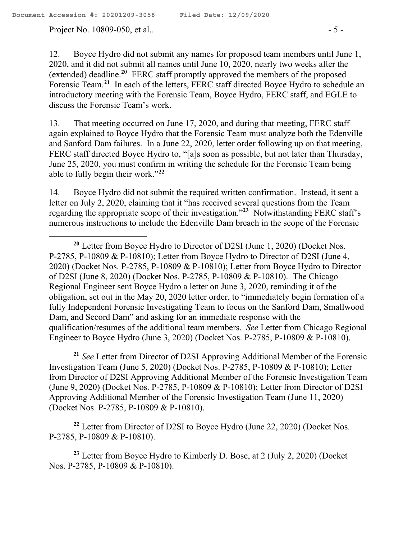$\overline{a}$ 

Project No. 10809-050, et al..  $-5$  -

12. Boyce Hydro did not submit any names for proposed team members until June 1, 2020, and it did not submit all names until June 10, 2020, nearly two weeks after the (extended) deadline.**<sup>20</sup>** FERC staff promptly approved the members of the proposed Forensic Team.**<sup>21</sup>** In each of the letters, FERC staff directed Boyce Hydro to schedule an introductory meeting with the Forensic Team, Boyce Hydro, FERC staff, and EGLE to discuss the Forensic Team's work.

13. That meeting occurred on June 17, 2020, and during that meeting, FERC staff again explained to Boyce Hydro that the Forensic Team must analyze both the Edenville and Sanford Dam failures. In a June 22, 2020, letter order following up on that meeting, FERC staff directed Boyce Hydro to, "[a]s soon as possible, but not later than Thursday, June 25, 2020, you must confirm in writing the schedule for the Forensic Team being able to fully begin their work."**<sup>22</sup>**

14. Boyce Hydro did not submit the required written confirmation. Instead, it sent a letter on July 2, 2020, claiming that it "has received several questions from the Team regarding the appropriate scope of their investigation."**<sup>23</sup>** Notwithstanding FERC staff's numerous instructions to include the Edenville Dam breach in the scope of the Forensic

**<sup>20</sup>** Letter from Boyce Hydro to Director of D2SI (June 1, 2020) (Docket Nos. P-2785, P-10809 & P-10810); Letter from Boyce Hydro to Director of D2SI (June 4, 2020) (Docket Nos. P-2785, P-10809 & P-10810); Letter from Boyce Hydro to Director of D2SI (June 8, 2020) (Docket Nos. P-2785, P-10809 & P-10810). The Chicago Regional Engineer sent Boyce Hydro a letter on June 3, 2020, reminding it of the obligation, set out in the May 20, 2020 letter order, to "immediately begin formation of a fully Independent Forensic Investigating Team to focus on the Sanford Dam, Smallwood Dam, and Secord Dam" and asking for an immediate response with the qualification/resumes of the additional team members. *See* Letter from Chicago Regional Engineer to Boyce Hydro (June 3, 2020) (Docket Nos. P-2785, P-10809 & P-10810).

**<sup>21</sup>** *See* Letter from Director of D2SI Approving Additional Member of the Forensic Investigation Team (June 5, 2020) (Docket Nos. P-2785, P-10809 & P-10810); Letter from Director of D2SI Approving Additional Member of the Forensic Investigation Team (June 9, 2020) (Docket Nos. P-2785, P-10809 & P-10810); Letter from Director of D2SI Approving Additional Member of the Forensic Investigation Team (June 11, 2020) (Docket Nos. P-2785, P-10809 & P-10810).

**<sup>22</sup>** Letter from Director of D2SI to Boyce Hydro (June 22, 2020) (Docket Nos. P-2785, P-10809 & P-10810).

**<sup>23</sup>** Letter from Boyce Hydro to Kimberly D. Bose, at 2 (July 2, 2020) (Docket Nos. P-2785, P-10809 & P-10810).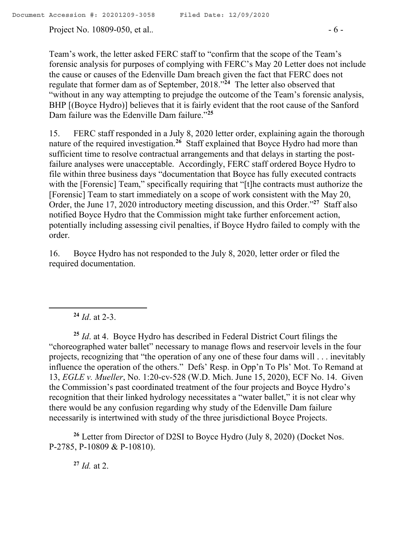Project No. 10809-050, et al..  $-6$  -

Team's work, the letter asked FERC staff to "confirm that the scope of the Team's forensic analysis for purposes of complying with FERC's May 20 Letter does not include the cause or causes of the Edenville Dam breach given the fact that FERC does not regulate that former dam as of September, 2018."**<sup>24</sup>** The letter also observed that "without in any way attempting to prejudge the outcome of the Team's forensic analysis, BHP [(Boyce Hydro)] believes that it is fairly evident that the root cause of the Sanford Dam failure was the Edenville Dam failure."**<sup>25</sup>**

15. FERC staff responded in a July 8, 2020 letter order, explaining again the thorough nature of the required investigation.**<sup>26</sup>** Staff explained that Boyce Hydro had more than sufficient time to resolve contractual arrangements and that delays in starting the postfailure analyses were unacceptable. Accordingly, FERC staff ordered Boyce Hydro to file within three business days "documentation that Boyce has fully executed contracts with the [Forensic] Team," specifically requiring that "[t]he contracts must authorize the [Forensic] Team to start immediately on a scope of work consistent with the May 20, Order, the June 17, 2020 introductory meeting discussion, and this Order."**<sup>27</sup>** Staff also notified Boyce Hydro that the Commission might take further enforcement action, potentially including assessing civil penalties, if Boyce Hydro failed to comply with the order.

16. Boyce Hydro has not responded to the July 8, 2020, letter order or filed the required documentation.

**<sup>24</sup>** *Id*. at 2-3.

 $\overline{a}$ 

**<sup>25</sup>** *Id*. at 4. Boyce Hydro has described in Federal District Court filings the "choreographed water ballet" necessary to manage flows and reservoir levels in the four projects, recognizing that "the operation of any one of these four dams will . . . inevitably influence the operation of the others." Defs' Resp. in Opp'n To Pls' Mot. To Remand at 13, *EGLE v. Mueller*, No. 1:20-cv-528 (W.D. Mich. June 15, 2020), ECF No. 14. Given the Commission's past coordinated treatment of the four projects and Boyce Hydro's recognition that their linked hydrology necessitates a "water ballet," it is not clear why there would be any confusion regarding why study of the Edenville Dam failure necessarily is intertwined with study of the three jurisdictional Boyce Projects.

**<sup>26</sup>** Letter from Director of D2SI to Boyce Hydro (July 8, 2020) (Docket Nos. P-2785, P-10809 & P-10810).

 $^{27}$  *Id.* at 2.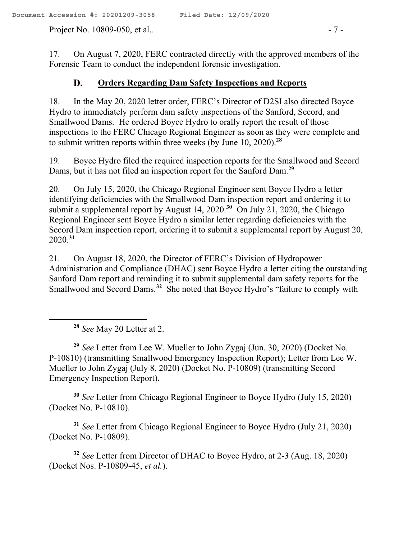Project No. 10809-050, et al..  $-7 -$ 

17. On August 7, 2020, FERC contracted directly with the approved members of the Forensic Team to conduct the independent forensic investigation.

### D. **Orders Regarding Dam Safety Inspections and Reports**

18. In the May 20, 2020 letter order, FERC's Director of D2SI also directed Boyce Hydro to immediately perform dam safety inspections of the Sanford, Secord, and Smallwood Dams. He ordered Boyce Hydro to orally report the result of those inspections to the FERC Chicago Regional Engineer as soon as they were complete and to submit written reports within three weeks (by June 10, 2020).**<sup>28</sup>**

19. Boyce Hydro filed the required inspection reports for the Smallwood and Secord Dams, but it has not filed an inspection report for the Sanford Dam. **29**

20. On July 15, 2020, the Chicago Regional Engineer sent Boyce Hydro a letter identifying deficiencies with the Smallwood Dam inspection report and ordering it to submit a supplemental report by August 14, 2020.<sup>30</sup> On July 21, 2020, the Chicago Regional Engineer sent Boyce Hydro a similar letter regarding deficiencies with the Secord Dam inspection report, ordering it to submit a supplemental report by August 20, 2020.**<sup>31</sup>**

21. On August 18, 2020, the Director of FERC's Division of Hydropower Administration and Compliance (DHAC) sent Boyce Hydro a letter citing the outstanding Sanford Dam report and reminding it to submit supplemental dam safety reports for the Smallwood and Secord Dams.<sup>32</sup> She noted that Boyce Hydro's "failure to comply with

**<sup>28</sup>** *See* May 20 Letter at 2.

 $\overline{a}$ 

**<sup>29</sup>** *See* Letter from Lee W. Mueller to John Zygaj (Jun. 30, 2020) (Docket No. P-10810) (transmitting Smallwood Emergency Inspection Report); Letter from Lee W. Mueller to John Zygaj (July 8, 2020) (Docket No. P-10809) (transmitting Secord Emergency Inspection Report).

**<sup>30</sup>** *See* Letter from Chicago Regional Engineer to Boyce Hydro (July 15, 2020) (Docket No. P-10810).

**<sup>31</sup>** *See* Letter from Chicago Regional Engineer to Boyce Hydro (July 21, 2020) (Docket No. P-10809).

**<sup>32</sup>** *See* Letter from Director of DHAC to Boyce Hydro, at 2-3 (Aug. 18, 2020) (Docket Nos. P-10809-45, *et al.*).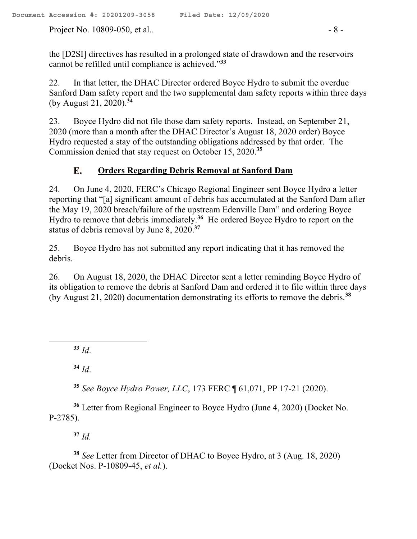Project No. 10809-050, et al..  $\overline{\phantom{a}}$  - 8 -

the [D2SI] directives has resulted in a prolonged state of drawdown and the reservoirs cannot be refilled until compliance is achieved." **33**

22. In that letter, the DHAC Director ordered Boyce Hydro to submit the overdue Sanford Dam safety report and the two supplemental dam safety reports within three days (by August 21, 2020).**<sup>34</sup>**

23. Boyce Hydro did not file those dam safety reports. Instead, on September 21, 2020 (more than a month after the DHAC Director's August 18, 2020 order) Boyce Hydro requested a stay of the outstanding obligations addressed by that order. The Commission denied that stay request on October 15, 2020. **35**

#### **Orders Regarding Debris Removal at Sanford Dam** Е.

24. On June 4, 2020, FERC's Chicago Regional Engineer sent Boyce Hydro a letter reporting that "[a] significant amount of debris has accumulated at the Sanford Dam after the May 19, 2020 breach/failure of the upstream Edenville Dam" and ordering Boyce Hydro to remove that debris immediately.**<sup>36</sup>** He ordered Boyce Hydro to report on the status of debris removal by June 8, 2020.**<sup>37</sup>**

25. Boyce Hydro has not submitted any report indicating that it has removed the debris.

26. On August 18, 2020, the DHAC Director sent a letter reminding Boyce Hydro of its obligation to remove the debris at Sanford Dam and ordered it to file within three days (by August 21, 2020) documentation demonstrating its efforts to remove the debris.**<sup>38</sup>**

**<sup>33</sup>** *Id*.

 $\overline{a}$ 

**<sup>34</sup>** *Id*.

**<sup>35</sup>** *See Boyce Hydro Power, LLC*, 173 FERC ¶ 61,071, PP 17-21 (2020).

**<sup>36</sup>** Letter from Regional Engineer to Boyce Hydro (June 4, 2020) (Docket No. P-2785).

**<sup>37</sup>** *Id.*

**<sup>38</sup>** *See* Letter from Director of DHAC to Boyce Hydro, at 3 (Aug. 18, 2020) (Docket Nos. P-10809-45, *et al.*).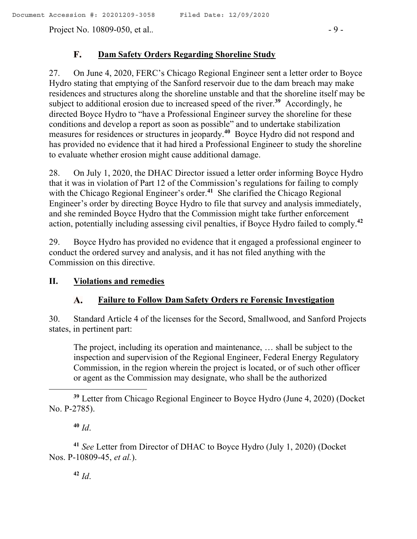### ${\bf F}$ . **Dam Safety Orders Regarding Shoreline Study**

27. On June 4, 2020, FERC's Chicago Regional Engineer sent a letter order to Boyce Hydro stating that emptying of the Sanford reservoir due to the dam breach may make residences and structures along the shoreline unstable and that the shoreline itself may be subject to additional erosion due to increased speed of the river.**<sup>39</sup>** Accordingly, he directed Boyce Hydro to "have a Professional Engineer survey the shoreline for these conditions and develop a report as soon as possible" and to undertake stabilization measures for residences or structures in jeopardy.**<sup>40</sup>** Boyce Hydro did not respond and has provided no evidence that it had hired a Professional Engineer to study the shoreline to evaluate whether erosion might cause additional damage.

28. On July 1, 2020, the DHAC Director issued a letter order informing Boyce Hydro that it was in violation of Part 12 of the Commission's regulations for failing to comply with the Chicago Regional Engineer's order.**<sup>41</sup>** She clarified the Chicago Regional Engineer's order by directing Boyce Hydro to file that survey and analysis immediately, and she reminded Boyce Hydro that the Commission might take further enforcement action, potentially including assessing civil penalties, if Boyce Hydro failed to comply. **42**

29. Boyce Hydro has provided no evidence that it engaged a professional engineer to conduct the ordered survey and analysis, and it has not filed anything with the Commission on this directive.

# **II. Violations and remedies**

### A. **Failure to Follow Dam Safety Orders re Forensic Investigation**

30. Standard Article 4 of the licenses for the Secord, Smallwood, and Sanford Projects states, in pertinent part:

The project, including its operation and maintenance, … shall be subject to the inspection and supervision of the Regional Engineer, Federal Energy Regulatory Commission, in the region wherein the project is located, or of such other officer or agent as the Commission may designate, who shall be the authorized

**<sup>40</sup>** *Id*.

**<sup>41</sup>** *See* Letter from Director of DHAC to Boyce Hydro (July 1, 2020) (Docket Nos. P-10809-45, *et al.*).

**<sup>42</sup>** *Id*.

**<sup>39</sup>** Letter from Chicago Regional Engineer to Boyce Hydro (June 4, 2020) (Docket No. P-2785).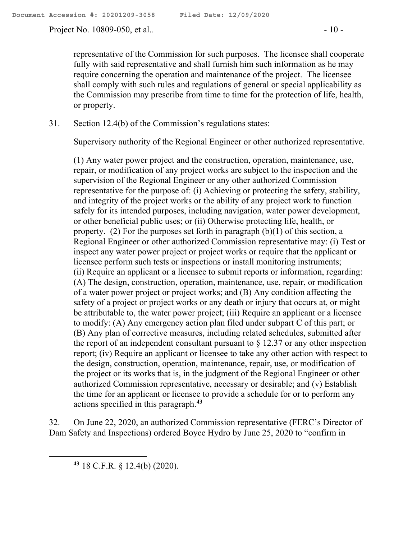Project No. 10809-050, et al.*.* - 10 -

representative of the Commission for such purposes. The licensee shall cooperate fully with said representative and shall furnish him such information as he may require concerning the operation and maintenance of the project. The licensee shall comply with such rules and regulations of general or special applicability as the Commission may prescribe from time to time for the protection of life, health, or property.

## 31. Section 12.4(b) of the Commission's regulations states:

Supervisory authority of the Regional Engineer or other authorized representative.

(1) Any water power project and the construction, operation, maintenance, use, repair, or modification of any project works are subject to the inspection and the supervision of the Regional Engineer or any other authorized Commission representative for the purpose of: (i) Achieving or protecting the safety, stability, and integrity of the project works or the ability of any project work to function safely for its intended purposes, including navigation, water power development, or other beneficial public uses; or (ii) Otherwise protecting life, health, or property. (2) For the purposes set forth in paragraph (b)(1) of this section, a Regional Engineer or other authorized Commission representative may: (i) Test or inspect any water power project or project works or require that the applicant or licensee perform such tests or inspections or install monitoring instruments; (ii) Require an applicant or a licensee to submit reports or information, regarding: (A) The design, construction, operation, maintenance, use, repair, or modification of a water power project or project works; and (B) Any condition affecting the safety of a project or project works or any death or injury that occurs at, or might be attributable to, the water power project; (iii) Require an applicant or a licensee to modify: (A) Any emergency action plan filed under subpart C of this part; or (B) Any plan of corrective measures, including related schedules, submitted after the report of an independent consultant pursuant to  $\S 12.37$  or any other inspection report; (iv) Require an applicant or licensee to take any other action with respect to the design, construction, operation, maintenance, repair, use, or modification of the project or its works that is, in the judgment of the Regional Engineer or other authorized Commission representative, necessary or desirable; and (v) Establish the time for an applicant or licensee to provide a schedule for or to perform any actions specified in this paragraph.**<sup>43</sup>**

32. On June 22, 2020, an authorized Commission representative (FERC's Director of Dam Safety and Inspections) ordered Boyce Hydro by June 25, 2020 to "confirm in

**<sup>43</sup>** 18 C.F.R. § 12.4(b) (2020).

 $\overline{a}$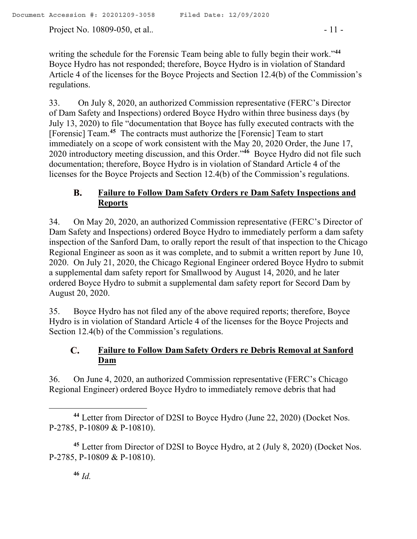Project No. 10809-050, et al.. **- 11 -**  $\frac{11 - 11}{1}$ 

writing the schedule for the Forensic Team being able to fully begin their work."**<sup>44</sup>** Boyce Hydro has not responded; therefore, Boyce Hydro is in violation of Standard Article 4 of the licenses for the Boyce Projects and Section 12.4(b) of the Commission's regulations.

33. On July 8, 2020, an authorized Commission representative (FERC's Director of Dam Safety and Inspections) ordered Boyce Hydro within three business days (by July 13, 2020) to file "documentation that Boyce has fully executed contracts with the [Forensic] Team.**<sup>45</sup>** The contracts must authorize the [Forensic] Team to start immediately on a scope of work consistent with the May 20, 2020 Order, the June 17, 2020 introductory meeting discussion, and this Order."**<sup>46</sup>** Boyce Hydro did not file such documentation; therefore, Boyce Hydro is in violation of Standard Article 4 of the licenses for the Boyce Projects and Section 12.4(b) of the Commission's regulations.

### **Failure to Follow Dam Safety Orders re Dam Safety Inspections and B. Reports**

34. On May 20, 2020, an authorized Commission representative (FERC's Director of Dam Safety and Inspections) ordered Boyce Hydro to immediately perform a dam safety inspection of the Sanford Dam, to orally report the result of that inspection to the Chicago Regional Engineer as soon as it was complete, and to submit a written report by June 10, 2020. On July 21, 2020, the Chicago Regional Engineer ordered Boyce Hydro to submit a supplemental dam safety report for Smallwood by August 14, 2020, and he later ordered Boyce Hydro to submit a supplemental dam safety report for Secord Dam by August 20, 2020.

35. Boyce Hydro has not filed any of the above required reports; therefore, Boyce Hydro is in violation of Standard Article 4 of the licenses for the Boyce Projects and Section 12.4(b) of the Commission's regulations.

### $\mathbf{C}$ . **Failure to Follow Dam Safety Orders re Debris Removal at Sanford Dam**

36. On June 4, 2020, an authorized Commission representative (FERC's Chicago Regional Engineer) ordered Boyce Hydro to immediately remove debris that had

 **<sup>44</sup>** Letter from Director of D2SI to Boyce Hydro (June 22, 2020) (Docket Nos. P-2785, P-10809 & P-10810).

**<sup>45</sup>** Letter from Director of D2SI to Boyce Hydro, at 2 (July 8, 2020) (Docket Nos. P-2785, P-10809 & P-10810).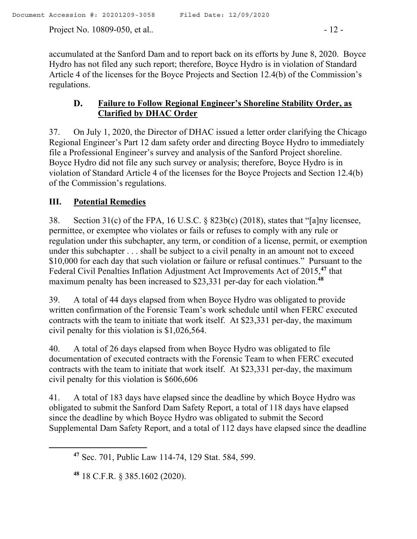Project No. 10809-050, et al.. 12 -

accumulated at the Sanford Dam and to report back on its efforts by June 8, 2020. Boyce Hydro has not filed any such report; therefore, Boyce Hydro is in violation of Standard Article 4 of the licenses for the Boyce Projects and Section 12.4(b) of the Commission's regulations.

### D. **Failure to Follow Regional Engineer's Shoreline Stability Order, as Clarified by DHAC Order**

37. On July 1, 2020, the Director of DHAC issued a letter order clarifying the Chicago Regional Engineer's Part 12 dam safety order and directing Boyce Hydro to immediately file a Professional Engineer's survey and analysis of the Sanford Project shoreline. Boyce Hydro did not file any such survey or analysis; therefore, Boyce Hydro is in violation of Standard Article 4 of the licenses for the Boyce Projects and Section 12.4(b) of the Commission's regulations.

# **III. Potential Remedies**

38. Section 31(c) of the FPA, 16 U.S.C. § 823b(c) (2018), states that "[a]ny licensee, permittee, or exemptee who violates or fails or refuses to comply with any rule or regulation under this subchapter, any term, or condition of a license, permit, or exemption under this subchapter . . . shall be subject to a civil penalty in an amount not to exceed \$10,000 for each day that such violation or failure or refusal continues." Pursuant to the Federal Civil Penalties Inflation Adjustment Act Improvements Act of 2015, **<sup>47</sup>** that maximum penalty has been increased to \$23,331 per-day for each violation.**<sup>48</sup>**

39. A total of 44 days elapsed from when Boyce Hydro was obligated to provide written confirmation of the Forensic Team's work schedule until when FERC executed contracts with the team to initiate that work itself. At \$23,331 per-day, the maximum civil penalty for this violation is \$1,026,564.

40. A total of 26 days elapsed from when Boyce Hydro was obligated to file documentation of executed contracts with the Forensic Team to when FERC executed contracts with the team to initiate that work itself. At \$23,331 per-day, the maximum civil penalty for this violation is \$606,606

41. A total of 183 days have elapsed since the deadline by which Boyce Hydro was obligated to submit the Sanford Dam Safety Report, a total of 118 days have elapsed since the deadline by which Boyce Hydro was obligated to submit the Secord Supplemental Dam Safety Report, and a total of 112 days have elapsed since the deadline

 $\overline{a}$ 

**<sup>47</sup>** Sec. 701, Public Law 114-74, 129 Stat. 584, 599.

**<sup>48</sup>** 18 C.F.R. § 385.1602 (2020).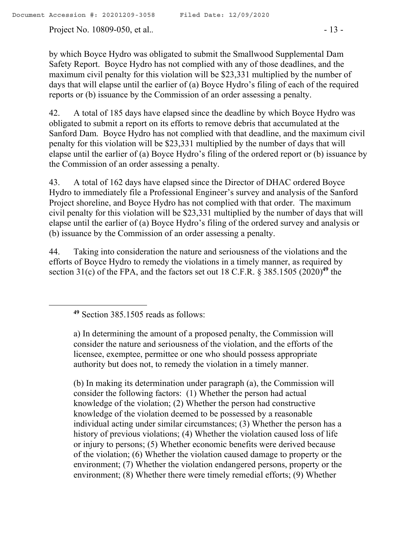Project No. 10809-050, et al.. 13 -

by which Boyce Hydro was obligated to submit the Smallwood Supplemental Dam Safety Report. Boyce Hydro has not complied with any of those deadlines, and the maximum civil penalty for this violation will be \$23,331 multiplied by the number of days that will elapse until the earlier of (a) Boyce Hydro's filing of each of the required reports or (b) issuance by the Commission of an order assessing a penalty.

42. A total of 185 days have elapsed since the deadline by which Boyce Hydro was obligated to submit a report on its efforts to remove debris that accumulated at the Sanford Dam. Boyce Hydro has not complied with that deadline, and the maximum civil penalty for this violation will be \$23,331 multiplied by the number of days that will elapse until the earlier of (a) Boyce Hydro's filing of the ordered report or (b) issuance by the Commission of an order assessing a penalty.

43. A total of 162 days have elapsed since the Director of DHAC ordered Boyce Hydro to immediately file a Professional Engineer's survey and analysis of the Sanford Project shoreline, and Boyce Hydro has not complied with that order. The maximum civil penalty for this violation will be \$23,331 multiplied by the number of days that will elapse until the earlier of (a) Boyce Hydro's filing of the ordered survey and analysis or (b) issuance by the Commission of an order assessing a penalty.

44. Taking into consideration the nature and seriousness of the violations and the efforts of Boyce Hydro to remedy the violations in a timely manner, as required by section 31(c) of the FPA, and the factors set out 18 C.F.R. § 385.1505 (2020)**<sup>49</sup>** the

(b) In making its determination under paragraph (a), the Commission will consider the following factors: (1) Whether the person had actual knowledge of the violation; (2) Whether the person had constructive knowledge of the violation deemed to be possessed by a reasonable individual acting under similar circumstances; (3) Whether the person has a history of previous violations; (4) Whether the violation caused loss of life or injury to persons; (5) Whether economic benefits were derived because of the violation; (6) Whether the violation caused damage to property or the environment; (7) Whether the violation endangered persons, property or the environment; (8) Whether there were timely remedial efforts; (9) Whether

**<sup>49</sup>** Section 385.1505 reads as follows:

a) In determining the amount of a proposed penalty, the Commission will consider the nature and seriousness of the violation, and the efforts of the licensee, exemptee, permittee or one who should possess appropriate authority but does not, to remedy the violation in a timely manner.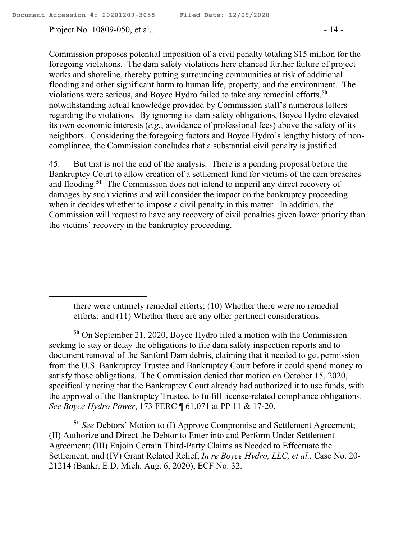$\overline{a}$ 

Project No. 10809-050, et al.. 14 -

Commission proposes potential imposition of a civil penalty totaling \$15 million for the foregoing violations. The dam safety violations here chanced further failure of project works and shoreline, thereby putting surrounding communities at risk of additional flooding and other significant harm to human life, property, and the environment. The violations were serious, and Boyce Hydro failed to take any remedial efforts,**<sup>50</sup>** notwithstanding actual knowledge provided by Commission staff's numerous letters regarding the violations. By ignoring its dam safety obligations, Boyce Hydro elevated its own economic interests (*e.g.*, avoidance of professional fees) above the safety of its neighbors. Considering the foregoing factors and Boyce Hydro's lengthy history of noncompliance, the Commission concludes that a substantial civil penalty is justified.

45. But that is not the end of the analysis. There is a pending proposal before the Bankruptcy Court to allow creation of a settlement fund for victims of the dam breaches and flooding.**<sup>51</sup>** The Commission does not intend to imperil any direct recovery of damages by such victims and will consider the impact on the bankruptcy proceeding when it decides whether to impose a civil penalty in this matter. In addition, the Commission will request to have any recovery of civil penalties given lower priority than the victims' recovery in the bankruptcy proceeding.

there were untimely remedial efforts; (10) Whether there were no remedial efforts; and (11) Whether there are any other pertinent considerations.

**<sup>50</sup>** On September 21, 2020, Boyce Hydro filed a motion with the Commission seeking to stay or delay the obligations to file dam safety inspection reports and to document removal of the Sanford Dam debris, claiming that it needed to get permission from the U.S. Bankruptcy Trustee and Bankruptcy Court before it could spend money to satisfy those obligations. The Commission denied that motion on October 15, 2020, specifically noting that the Bankruptcy Court already had authorized it to use funds, with the approval of the Bankruptcy Trustee, to fulfill license-related compliance obligations. *See Boyce Hydro Power*, 173 FERC ¶ 61,071 at PP 11 & 17-20.

**<sup>51</sup>** *See* Debtors' Motion to (I) Approve Compromise and Settlement Agreement; (II) Authorize and Direct the Debtor to Enter into and Perform Under Settlement Agreement; (III) Enjoin Certain Third-Party Claims as Needed to Effectuate the Settlement; and (IV) Grant Related Relief, *In re Boyce Hydro, LLC, et al.*, Case No. 20- 21214 (Bankr. E.D. Mich. Aug. 6, 2020), ECF No. 32.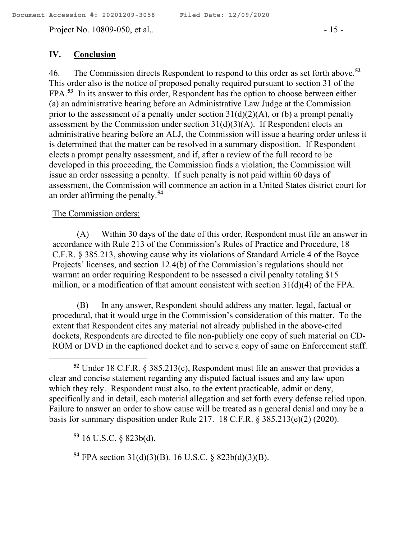Project No. 10809-050, et al.. 15 -

## **IV. Conclusion**

46. The Commission directs Respondent to respond to this order as set forth above.**<sup>52</sup>**  This order also is the notice of proposed penalty required pursuant to section 31 of the FPA.**<sup>53</sup>** In its answer to this order, Respondent has the option to choose between either (a) an administrative hearing before an Administrative Law Judge at the Commission prior to the assessment of a penalty under section  $31(d)(2)(A)$ , or (b) a prompt penalty assessment by the Commission under section  $31(d)(3)(A)$ . If Respondent elects an administrative hearing before an ALJ, the Commission will issue a hearing order unless it is determined that the matter can be resolved in a summary disposition. If Respondent elects a prompt penalty assessment, and if, after a review of the full record to be developed in this proceeding, the Commission finds a violation, the Commission will issue an order assessing a penalty. If such penalty is not paid within 60 days of assessment, the Commission will commence an action in a United States district court for an order affirming the penalty.**<sup>54</sup>**

### The Commission orders:

 $\overline{a}$ 

(A) Within 30 days of the date of this order, Respondent must file an answer in accordance with Rule 213 of the Commission's Rules of Practice and Procedure, 18 C.F.R. § 385.213, showing cause why its violations of Standard Article 4 of the Boyce Projects' licenses, and section 12.4(b) of the Commission's regulations should not warrant an order requiring Respondent to be assessed a civil penalty totaling \$15 million, or a modification of that amount consistent with section 31(d)(4) of the FPA.

(B) In any answer, Respondent should address any matter, legal, factual or procedural, that it would urge in the Commission's consideration of this matter. To the extent that Respondent cites any material not already published in the above-cited dockets, Respondents are directed to file non-publicly one copy of such material on CD-ROM or DVD in the captioned docket and to serve a copy of same on Enforcement staff.

**<sup>53</sup>** 16 U.S.C. § 823b(d).

**<sup>54</sup>** FPA section 31(d)(3)(B)*,* 16 U.S.C. § 823b(d)(3)(B).

**<sup>52</sup>** Under 18 C.F.R. § 385.213(c), Respondent must file an answer that provides a clear and concise statement regarding any disputed factual issues and any law upon which they rely. Respondent must also, to the extent practicable, admit or deny, specifically and in detail, each material allegation and set forth every defense relied upon. Failure to answer an order to show cause will be treated as a general denial and may be a basis for summary disposition under Rule 217. 18 C.F.R. § 385.213(e)(2) (2020).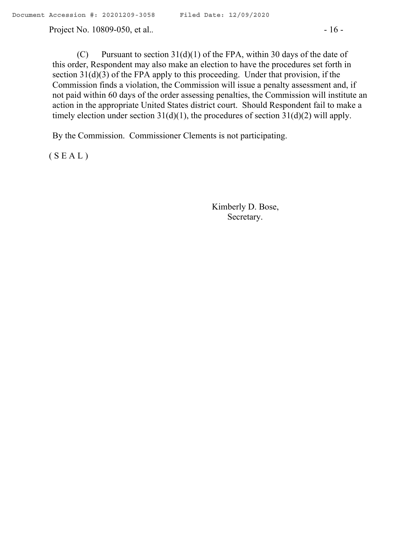Project No. 10809-050, et al.. 16 -

(C) Pursuant to section  $31(d)(1)$  of the FPA, within 30 days of the date of this order, Respondent may also make an election to have the procedures set forth in section 31(d)(3) of the FPA apply to this proceeding. Under that provision, if the Commission finds a violation, the Commission will issue a penalty assessment and, if not paid within 60 days of the order assessing penalties, the Commission will institute an action in the appropriate United States district court. Should Respondent fail to make a timely election under section  $31(d)(1)$ , the procedures of section  $31(d)(2)$  will apply.

By the Commission. Commissioner Clements is not participating.

 $(S E A L)$ 

Kimberly D. Bose, Secretary.